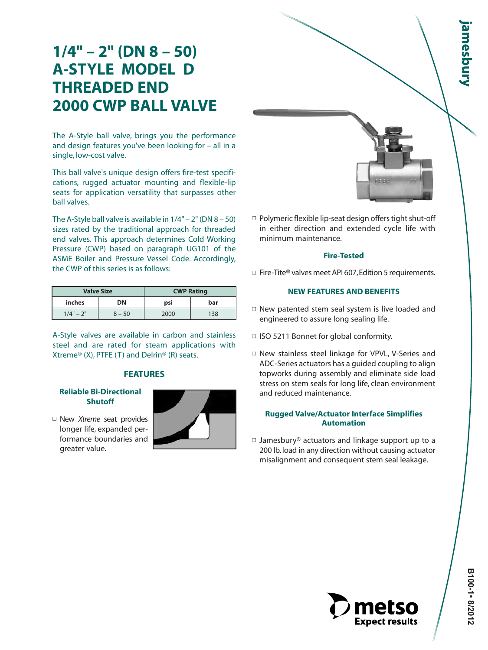# **1/4" – 2" (DN 8 – 50) A-STYLE MODEL D THREADED END 2000 CWP BALL VALVE**

The A-Style ball valve, brings you the performance and design features you've been looking for – all in a single, low-cost valve.

This ball valve's unique design offers fire-test specifications, rugged actuator mounting and flexible-lip seats for application versatility that surpasses other ball valves.

The A-Style ball valve is available in  $1/4" - 2"$  (DN  $8 - 50$ ) sizes rated by the traditional approach for threaded end valves. This approach determines Cold Working Pressure (CWP) based on paragraph UG101 of the ASME Boiler and Pressure Vessel Code. Accordingly, the CWP of this series is as follows:

|             | <b>Valve Size</b> | <b>CWP Rating</b> |     |  |  |
|-------------|-------------------|-------------------|-----|--|--|
| inches      | DN                | psi               | bar |  |  |
| $1/4" - 2"$ | $8 - 50$          | 2000              | 138 |  |  |

A-Style valves are available in carbon and stainless steel and are rated for steam applications with Xtreme® (X), PTFE (T) and Delrin® (R) seats.

#### **FEATURES**

#### **Reliable Bi-Directional Shutoff**

■ New *Xtreme* seat provides longer life, expanded performance boundaries and greater value.





 $\Box$  Polymeric flexible lip-seat design offers tight shut-off in either direction and extended cycle life with minimum maintenance.

#### **Fire-Tested**

 $\Box$  Fire-Tite<sup>®</sup> valves meet API 607, Edition 5 requirements.

#### **NEW FEATURES AND BENEFITS**

- $\Box$  New patented stem seal system is live loaded and engineered to assure long sealing life.
- □ ISO 5211 Bonnet for global conformity.
- □ New stainless steel linkage for VPVL, V-Series and ADC-Series actuators has a guided coupling to align topworks during assembly and eliminate side load stress on stem seals for long life, clean environment and reduced maintenance.

#### **Rugged Valve/Actuator Interface Simplifies Automation**

 $\Box$  Jamesbury® actuators and linkage support up to a 200 lb. load in any direction without causing actuator misalignment and consequent stem seal leakage.

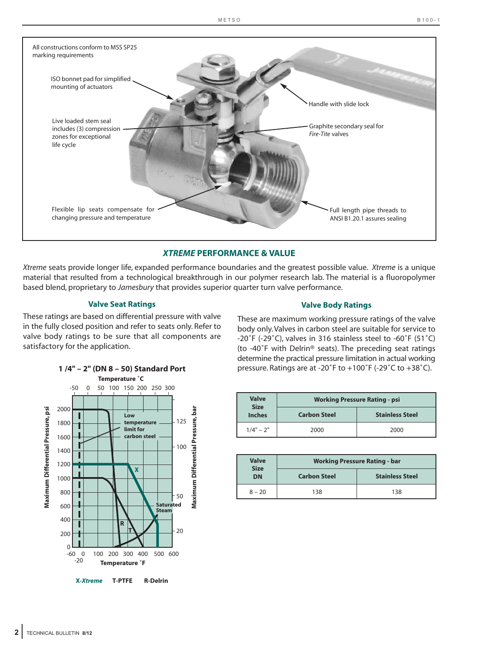

#### *XTREME* **PERFORMANCE & VALUE**

*Xtreme* seats provide longer life, expanded performance boundaries and the greatest possible value. *Xtreme* is a unique material that resulted from a technological breakthrough in our polymer research lab. The material is a fluoropolymer based blend, proprietary to *Jamesbury* that provides superior quarter turn valve performance.

#### **Valve Seat Ratings**

These ratings are based on differential pressure with valve in the fully closed position and refer to seats only. Refer to valve body ratings to be sure that all components are satisfactory for the application.

**1 /4" – 2" (DN 8 – 50) Standard Port**

#### **Valve Body Ratings**

These are maximum working pressure ratings of the valve body only. Valves in carbon steel are suitable for service to -20˚F (-29˚C), valves in 316 stainless steel to -60˚F (51˚C) (to -40˚F with Delrin® seats). The preceding seat ratings determine the practical pressure limitation in actual working pressure. Ratings are at -20˚F to +100˚F (-29˚C to +38˚C).

|                                    |          |                      |                 |     | Temperature °C                          |                         |                          |                 |                                  |     |                                    |
|------------------------------------|----------|----------------------|-----------------|-----|-----------------------------------------|-------------------------|--------------------------|-----------------|----------------------------------|-----|------------------------------------|
|                                    |          | $-50$                | 0               | 50  | 100                                     |                         | 150 200                  | 250 300         |                                  |     |                                    |
|                                    |          |                      |                 |     |                                         |                         |                          |                 |                                  |     |                                    |
|                                    | 2000     |                      |                 |     |                                         | Low                     |                          |                 |                                  |     |                                    |
|                                    | 1800     |                      |                 |     |                                         |                         | temperature<br>limit for |                 |                                  | 125 |                                    |
|                                    | 1600     |                      |                 |     |                                         |                         | carbon steel             |                 |                                  |     |                                    |
|                                    | 1400     |                      |                 |     |                                         |                         |                          |                 |                                  | 100 |                                    |
|                                    | 1200     |                      |                 |     |                                         |                         |                          |                 |                                  |     |                                    |
| Maximum Differential Pressure, psi | 1000     |                      |                 |     |                                         |                         | X                        |                 |                                  |     | Maximum Differential Pressure, bar |
|                                    | 800      |                      |                 |     |                                         |                         |                          |                 |                                  | 50  |                                    |
|                                    | 600      |                      |                 |     |                                         |                         |                          |                 | <b>Saturated</b><br><b>Steam</b> |     |                                    |
|                                    | 400      |                      |                 |     |                                         | $\overline{\mathsf{R}}$ |                          |                 |                                  |     |                                    |
|                                    | 200      |                      |                 |     |                                         | т                       |                          |                 |                                  | 20  |                                    |
|                                    | $\Omega$ |                      |                 |     |                                         |                         |                          |                 |                                  |     |                                    |
|                                    | $-60$    | $\mathbf 0$<br>$-20$ |                 | 100 | 200<br><b>Temperature <sup>°</sup>F</b> | 300                     | 400                      | 500             | 600                              |     |                                    |
|                                    |          |                      | <b>X-Xtreme</b> |     |                                         | <b>T-PTFE</b>           |                          | <b>R-Delrin</b> |                                  |     |                                    |

| <b>Valve</b><br><b>Size</b> | <b>Working Pressure Rating - psi</b> |                        |  |  |  |  |  |
|-----------------------------|--------------------------------------|------------------------|--|--|--|--|--|
| <b>Inches</b>               | <b>Carbon Steel</b>                  | <b>Stainless Steel</b> |  |  |  |  |  |
| $1/4" - 2"$                 | 2000                                 | 2000                   |  |  |  |  |  |

| <b>Valve</b>      | <b>Working Pressure Rating - bar</b> |                        |  |  |  |  |
|-------------------|--------------------------------------|------------------------|--|--|--|--|
| <b>Size</b><br>DN | <b>Carbon Steel</b>                  | <b>Stainless Steel</b> |  |  |  |  |
| $8 - 20$          | 138                                  | 138                    |  |  |  |  |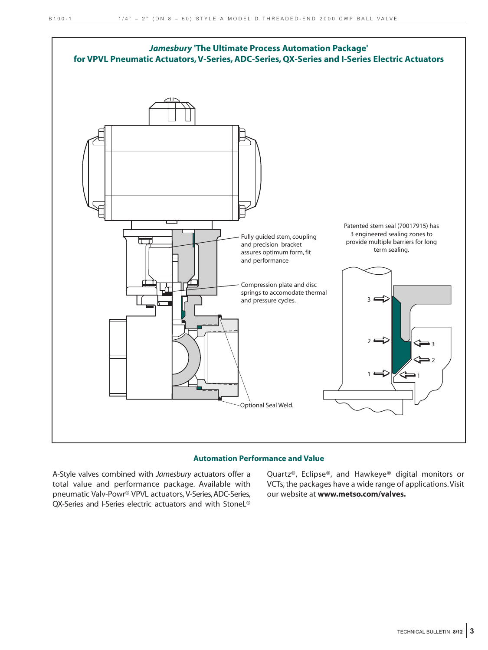

#### **Automation Performance and Value**

A-Style valves combined with *Jamesbury* actuators offer a total value and performance package. Available with pneumatic Valv-Powr® VPVL actuators, V-Series, ADC-Series, QX-Series and I-Series electric actuators and with StoneL® Quartz®, Eclipse®, and Hawkeye® digital monitors or VCTs, the packages have a wide range of applications.Visit our website at **www.metso.com/valves.**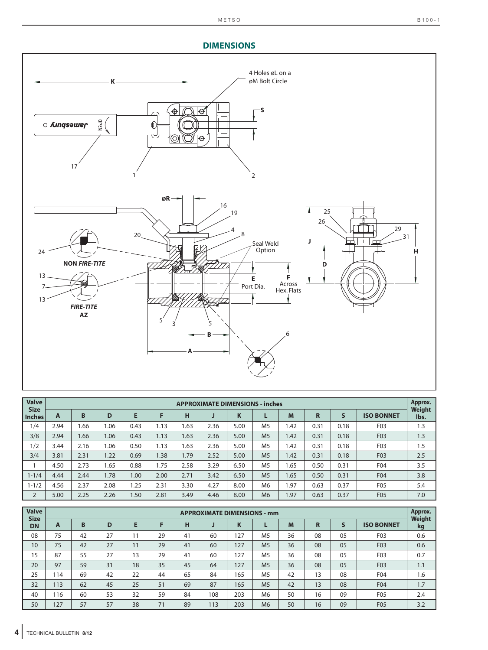### **DIMENSIONS**



| <b>Valve</b><br><b>Size</b> |      | <b>APPROXIMATE DIMENSIONS - inches</b> |      |      |      |      |      |      |                |      | Approx.<br>Weight |      |                   |      |
|-----------------------------|------|----------------------------------------|------|------|------|------|------|------|----------------|------|-------------------|------|-------------------|------|
| <b>Inches</b>               | A    | в                                      | D    | E    |      | н    | J    | ĸ    |                | M    | R                 | S    | <b>ISO BONNET</b> | lbs. |
| 1/4                         | 2.94 | 1.66                                   | 1.06 | 0.43 | 1.13 | 1.63 | 2.36 | 5.00 | M <sub>5</sub> | 1.42 | 0.31              | 0.18 | F03               | 1.3  |
| 3/8                         | 2.94 | 1.66                                   | 1.06 | 0.43 | 1.13 | 1.63 | 2.36 | 5.00 | M <sub>5</sub> | 1.42 | 0.31              | 0.18 | F03               | 1.3  |
| 1/2                         | 3.44 | 2.16                                   | 1.06 | 0.50 | 1.13 | 1.63 | 2.36 | 5.00 | M <sub>5</sub> | 1.42 | 0.31              | 0.18 | F03               | 1.5  |
| 3/4                         | 3.81 | 2.31                                   | 1.22 | 0.69 | 1.38 | 1.79 | 2.52 | 5.00 | M <sub>5</sub> | 1.42 | 0.31              | 0.18 | F03               | 2.5  |
|                             | 4.50 | 2.73                                   | 1.65 | 0.88 | 1.75 | 2.58 | 3.29 | 6.50 | M <sub>5</sub> | 1.65 | 0.50              | 0.31 | F04               | 3.5  |
| $1 - 1/4$                   | 4.44 | 2.44                                   | 1.78 | 1.00 | 2.00 | 2.71 | 3.42 | 6.50 | M <sub>5</sub> | 1.65 | 0.50              | 0.31 | F04               | 3.8  |
| $1 - 1/2$                   | 4.56 | 2.37                                   | 2.08 | .25  | 2.31 | 3.30 | 4.27 | 8.00 | M <sub>6</sub> | 1.97 | 0.63              | 0.37 | F <sub>05</sub>   | 5.4  |
| $\overline{2}$              | 5.00 | 2.25                                   | 2.26 | 1.50 | 2.81 | 3.49 | 4.46 | 8.00 | M <sub>6</sub> | 1.97 | 0.63              | 0.37 | F05               | 7.0  |

| <b>Valve</b><br><b>Size</b> | <b>APPROXIMATE DIMENSIONS - mm</b> |    |    |    |    |    |     |     |                | Approx.<br><b>Weight</b> |    |    |                   |     |
|-----------------------------|------------------------------------|----|----|----|----|----|-----|-----|----------------|--------------------------|----|----|-------------------|-----|
| <b>DN</b>                   | A                                  | B  | D  | E  |    | н  | u   | K   |                | M                        | R  |    | <b>ISO BONNET</b> | kg  |
| 08                          | 75                                 | 42 | 27 | 11 | 29 | 41 | 60  | 27  | M <sub>5</sub> | 36                       | 08 | 05 | F03               | 0.6 |
| 10                          | 75                                 | 42 | 27 | 11 | 29 | 41 | 60  | 127 | M <sub>5</sub> | 36                       | 08 | 05 | F <sub>0</sub> 3  | 0.6 |
| 15                          | 87                                 | 55 | 27 | 13 | 29 | 41 | 60  | 27  | M <sub>5</sub> | 36                       | 08 | 05 | F03               | 0.7 |
| 20                          | 97                                 | 59 | 31 | 18 | 35 | 45 | 64  | 127 | M <sub>5</sub> | 36                       | 08 | 05 | F03               | 1.1 |
| 25                          | 114                                | 69 | 42 | 22 | 44 | 65 | 84  | 165 | M <sub>5</sub> | 42                       | 13 | 08 | F04               | 1.6 |
| 32                          | 113                                | 62 | 45 | 25 | 51 | 69 | 87  | 165 | M <sub>5</sub> | 42                       | 13 | 08 | F04               | 1.7 |
| 40                          | 116                                | 60 | 53 | 32 | 59 | 84 | 108 | 203 | M6             | 50                       | 16 | 09 | F <sub>05</sub>   | 2.4 |
| 50                          | 127                                | 57 | 57 | 38 | 71 | 89 | 113 | 203 | M <sub>6</sub> | 50                       | 16 | 09 | F05               | 3.2 |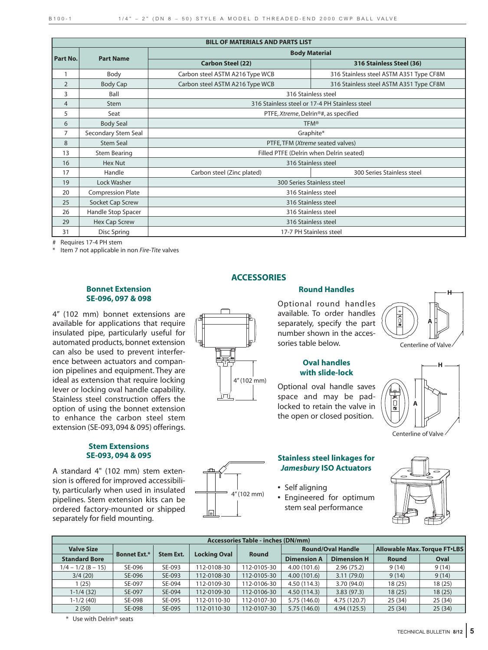|                 | <b>BILL OF MATERIALS AND PARTS LIST</b> |                                 |                                                |  |  |  |  |  |
|-----------------|-----------------------------------------|---------------------------------|------------------------------------------------|--|--|--|--|--|
|                 | <b>Part Name</b>                        | <b>Body Material</b>            |                                                |  |  |  |  |  |
| <b>Part No.</b> |                                         | <b>Carbon Steel (22)</b>        | 316 Stainless Steel (36)                       |  |  |  |  |  |
| 1               | Body                                    | Carbon steel ASTM A216 Type WCB | 316 Stainless steel ASTM A351 Type CF8M        |  |  |  |  |  |
| $\overline{2}$  | <b>Body Cap</b>                         | Carbon steel ASTM A216 Type WCB | 316 Stainless steel ASTM A351 Type CF8M        |  |  |  |  |  |
| 3               | Ball                                    |                                 | 316 Stainless steel                            |  |  |  |  |  |
| 4               | Stem                                    |                                 | 316 Stainless steel or 17-4 PH Stainless steel |  |  |  |  |  |
| 5               | Seat                                    |                                 | PTFE, Xtreme, Delrin®#, as specified           |  |  |  |  |  |
| 6               | <b>Body Seal</b>                        |                                 | <b>TFM®</b>                                    |  |  |  |  |  |
| 7               | Secondary Stem Seal                     | Graphite*                       |                                                |  |  |  |  |  |
| 8               | <b>Stem Seal</b>                        |                                 | PTFE, TFM (Xtreme seated valves)               |  |  |  |  |  |
| 13              | <b>Stem Bearing</b>                     |                                 | Filled PTFE (Delrin when Delrin seated)        |  |  |  |  |  |
| 16              | Hex Nut                                 |                                 | 316 Stainless steel                            |  |  |  |  |  |
| 17              | Handle                                  | Carbon steel (Zinc plated)      | 300 Series Stainless steel                     |  |  |  |  |  |
| 19              | Lock Washer                             |                                 | 300 Series Stainless steel                     |  |  |  |  |  |
| 20              | <b>Compression Plate</b>                |                                 | 316 Stainless steel                            |  |  |  |  |  |
| 25              | Socket Cap Screw                        |                                 | 316 Stainless steel                            |  |  |  |  |  |
| 26              | Handle Stop Spacer                      | 316 Stainless steel             |                                                |  |  |  |  |  |
| 29              | <b>Hex Cap Screw</b>                    | 316 Stainless steel             |                                                |  |  |  |  |  |
| 31              | Disc Spring                             |                                 | 17-7 PH Stainless steel                        |  |  |  |  |  |

# Requires 17-4 PH stem

Item 7 not applicable in non *Fire-Tite* valves

#### **Bonnet Extension SE-096, 097 & 098**

4" (102 mm) bonnet extensions are available for applications that require insulated pipe, particularly useful for automated products, bonnet extension can also be used to prevent interference between actuators and companion pipelines and equipment. They are ideal as extension that require locking lever or locking oval handle capability. Stainless steel construction offers the option of using the bonnet extension to enhance the carbon steel stem extension (SE-093, 094 & 095) offerings.

#### **Stem Extensions SE-093, 094 & 095**

A standard 4" (102 mm) stem extension is offered for improved accessibility, particularly when used in insulated pipelines. Stem extension kits can be ordered factory-mounted or shipped separately for field mounting.

#### **ACCESSORIES**

4" (102 mm)

## **Round Handles**

Optional round handles available. To order handles separately, specify the part number shown in the accessories table below.



Optional oval handle saves space and may be padlocked to retain the valve in the open or closed position.



Centerline of Valve







#### **Stainless steel linkages for** *Jamesbury* **ISO Actuators**

- **•** Self aligning
- **•** Engineered for optimum stem seal performance



|                      | <b>Accessories Table - inches (DN/mm)</b> |                  |                     |              |                    |                          |                                     |        |  |  |
|----------------------|-------------------------------------------|------------------|---------------------|--------------|--------------------|--------------------------|-------------------------------------|--------|--|--|
| <b>Valve Size</b>    | <b>Bonnet Ext.*</b>                       | <b>Stem Ext.</b> |                     | <b>Round</b> |                    | <b>Round/Oval Handle</b> | <b>Allowable Max. Torque FT.LBS</b> |        |  |  |
| <b>Standard Bore</b> |                                           |                  | <b>Locking Oval</b> |              | <b>Dimension A</b> | <b>Dimension H</b>       | <b>Round</b>                        | Oval   |  |  |
| $1/4 - 1/2 (8 - 15)$ | SE-096                                    | SE-093           | 112-0108-30         | 112-0105-30  | 4.00(101.6)        | 2.96(75.2)               | 9(14)                               | 9(14)  |  |  |
| 3/4(20)              | SE-096                                    | SE-093           | 112-0108-30         | 112-0105-30  | 4.00(101.6)        | 3.11(79.0)               | 9(14)                               | 9(14)  |  |  |
| (25)                 | SE-097                                    | SE-094           | 112-0109-30         | 112-0106-30  | 4.50(114.3)        | 3.70 (94.0)              | 18(25)                              | 18(25) |  |  |
| $1-1/4(32)$          | SE-097                                    | SE-094           | 112-0109-30         | 112-0106-30  | 4.50(114.3)        | 3.83(97.3)               | 18(25)                              | 18(25) |  |  |
| $1-1/2(40)$          | SE-098                                    | SE-095           | 112-0110-30         | 112-0107-30  | 5.75 (146.0)       | 4.75 (120.7)             | 25(34)                              | 25(34) |  |  |
| 2(50)                | SE-098                                    | SE-095           | 112-0110-30         | 112-0107-30  | 5.75(146.0)        | 4.94 (125.5)             | 25(34)                              | 25(34) |  |  |

\* Use with Delrin® seats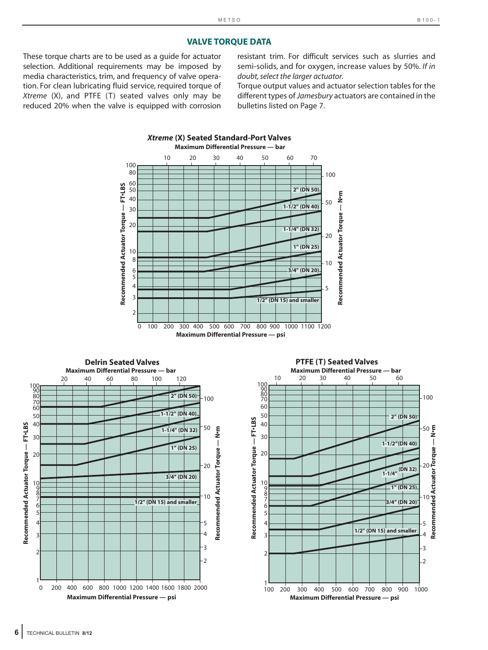#### **VALVE TORQUE DATA**

These torque charts are to be used as a guide for actuator selection. Additional requirements may be imposed by media characteristics, trim, and frequency of valve operation. For clean lubricating fluid service, required torque of *Xtreme* (X), and PTFE (T) seated valves only may be reduced 20% when the valve is equipped with corrosion

resistant trim. For difficult services such as slurries and semi-solids, and for oxygen, increase values by 50%. *If in doubt, select the larger actuator.*

Torque output values and actuator selection tables for the different types of *Jamesbury* actuators are contained in the bulletins listed on Page 7.

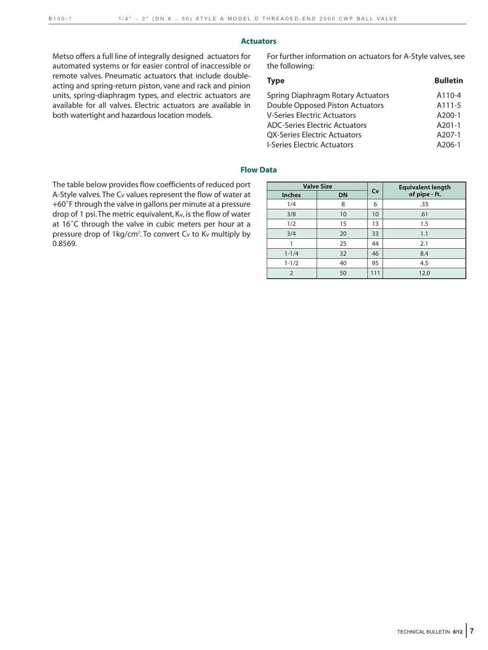#### **Actuators**

Metso offers a full line of integrally designed actuators for automated systems or for easier control of inaccessible or remote valves. Pneumatic actuators that include doubleacting and spring-return piston, vane and rack and pinion units, spring-diaphragm types, and electric actuators are available for all valves. Electric actuators are available in both watertight and hazardous location models.

For further information on actuators for A-Style valves, see the following:

| <b>Type</b>                          | <b>Bulletin</b> |
|--------------------------------------|-----------------|
| Spring Diaphragm Rotary Actuators    | A110-4          |
| Double Opposed Piston Actuators      | A111-5          |
| <b>V-Series Electric Actuators</b>   | $A200-1$        |
| <b>ADC-Series Electric Actuators</b> | $A201-1$        |
| <b>QX-Series Electric Actuators</b>  | A207-1          |
| <b>I-Series Electric Actuators</b>   | $A206-1$        |

#### **Flow Data**

The table below provides flow coefficients of reduced port A-Style valves.The Cv values represent the flow of water at +60˚F through the valve in gallons per minute at a pressure drop of 1 psi.The metric equivalent, Kv, is the flow of water at 16˚C through the valve in cubic meters per hour at a pressure drop of 1kg/cm<sup>2</sup>. To convert Cv to Kv multiply by 0.8569.

|               | <b>Valve Size</b> |     | <b>Equivalent length</b> |  |  |
|---------------|-------------------|-----|--------------------------|--|--|
| <b>Inches</b> | <b>DN</b>         | Cv  | of pipe - ft.            |  |  |
| 1/4           | 8                 | 6   | .33                      |  |  |
| 3/8           | 10                | 10  | .61                      |  |  |
| 1/2           | 15                | 13  | 1.5                      |  |  |
| 3/4           | 20                | 33  | 1.1                      |  |  |
|               | 25                | 44  | 2.1                      |  |  |
| $1 - 1/4$     | 32                | 46  | 8.4                      |  |  |
| $1 - 1/2$     | 40                | 95  | 4.5                      |  |  |
| $\mathcal{P}$ | 50                | 111 | 12.0                     |  |  |